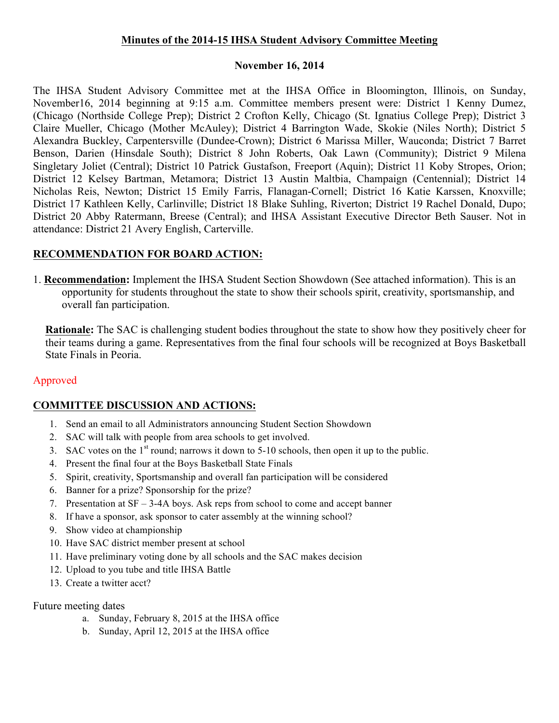## **Minutes of the 2014-15 IHSA Student Advisory Committee Meeting**

## **November 16, 2014**

The IHSA Student Advisory Committee met at the IHSA Office in Bloomington, Illinois, on Sunday, November16, 2014 beginning at 9:15 a.m. Committee members present were: District 1 Kenny Dumez, (Chicago (Northside College Prep); District 2 Crofton Kelly, Chicago (St. Ignatius College Prep); District 3 Claire Mueller, Chicago (Mother McAuley); District 4 Barrington Wade, Skokie (Niles North); District 5 Alexandra Buckley, Carpentersville (Dundee-Crown); District 6 Marissa Miller, Wauconda; District 7 Barret Benson, Darien (Hinsdale South); District 8 John Roberts, Oak Lawn (Community); District 9 Milena Singletary Joliet (Central); District 10 Patrick Gustafson, Freeport (Aquin); District 11 Koby Stropes, Orion; District 12 Kelsey Bartman, Metamora; District 13 Austin Maltbia, Champaign (Centennial); District 14 Nicholas Reis, Newton; District 15 Emily Farris, Flanagan-Cornell; District 16 Katie Karssen, Knoxville; District 17 Kathleen Kelly, Carlinville; District 18 Blake Suhling, Riverton; District 19 Rachel Donald, Dupo; District 20 Abby Ratermann, Breese (Central); and IHSA Assistant Executive Director Beth Sauser. Not in attendance: District 21 Avery English, Carterville.

# **RECOMMENDATION FOR BOARD ACTION:**

1. **Recommendation:** Implement the IHSA Student Section Showdown (See attached information). This is an opportunity for students throughout the state to show their schools spirit, creativity, sportsmanship, and overall fan participation.

**Rationale:** The SAC is challenging student bodies throughout the state to show how they positively cheer for their teams during a game. Representatives from the final four schools will be recognized at Boys Basketball State Finals in Peoria.

## Approved

# **COMMITTEE DISCUSSION AND ACTIONS:**

- 1. Send an email to all Administrators announcing Student Section Showdown
- 2. SAC will talk with people from area schools to get involved.
- 3. SAC votes on the  $1<sup>st</sup>$  round; narrows it down to 5-10 schools, then open it up to the public.
- 4. Present the final four at the Boys Basketball State Finals
- 5. Spirit, creativity, Sportsmanship and overall fan participation will be considered
- 6. Banner for a prize? Sponsorship for the prize?
- 7. Presentation at SF 3-4A boys. Ask reps from school to come and accept banner
- 8. If have a sponsor, ask sponsor to cater assembly at the winning school?
- 9. Show video at championship
- 10. Have SAC district member present at school
- 11. Have preliminary voting done by all schools and the SAC makes decision
- 12. Upload to you tube and title IHSA Battle
- 13. Create a twitter acct?

## Future meeting dates

- a. Sunday, February 8, 2015 at the IHSA office
- b. Sunday, April 12, 2015 at the IHSA office